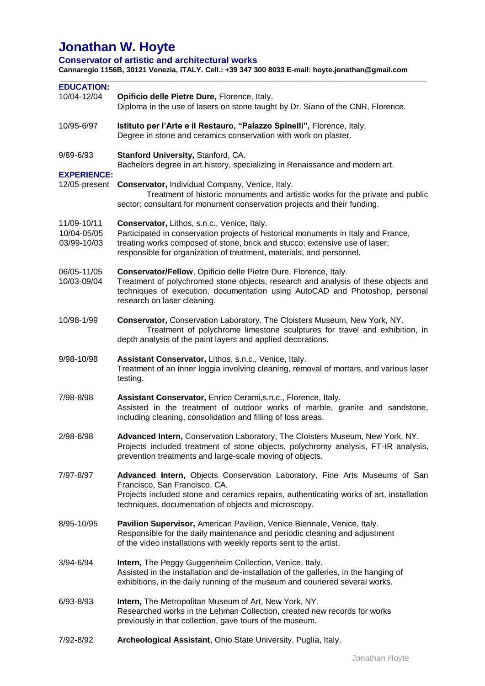# **Jonathan W. Hoyte**

**Conservator of artistic and architectural works** 

**Cannaregio 1156B, 30121 Venezia, ITALY. Cell.: +39 347 300 8033 E-mail: hoyte.jonathan@gmail.com**

| <b>EDUCATION:</b><br>10/04-12/04          | Opificio delle Pietre Dure, Florence, Italy.<br>Diploma in the use of lasers on stone taught by Dr. Siano of the CNR, Florence.                                                                                                                                                          |
|-------------------------------------------|------------------------------------------------------------------------------------------------------------------------------------------------------------------------------------------------------------------------------------------------------------------------------------------|
| 10/95-6/97                                | Istituto per l'Arte e il Restauro, "Palazzo Spinelli", Florence, Italy.<br>Degree in stone and ceramics conservation with work on plaster.                                                                                                                                               |
| 9/89-6/93                                 | Stanford University, Stanford, CA.<br>Bachelors degree in art history, specializing in Renaissance and modern art.                                                                                                                                                                       |
| <b>EXPERIENCE:</b><br>12/05-present       | Conservator, Individual Company, Venice, Italy.<br>Treatment of historic monuments and artistic works for the private and public<br>sector; consultant for monument conservation projects and their funding.                                                                             |
| 11/09-10/11<br>10/04-05/05<br>03/99-10/03 | Conservator, Lithos, s.n.c., Venice, Italy.<br>Participated in conservation projects of historical monuments in Italy and France,<br>treating works composed of stone, brick and stucco; extensive use of laser;<br>responsible for organization of treatment, materials, and personnel. |
| 06/05-11/05<br>10/03-09/04                | Conservator/Fellow, Opificio delle Pietre Dure, Florence, Italy.<br>Treatment of polychromed stone objects, research and analysis of these objects and<br>techniques of execution, documentation using AutoCAD and Photoshop, personal<br>research on laser cleaning.                    |
| 10/98-1/99                                | Conservator, Conservation Laboratory, The Cloisters Museum, New York, NY.<br>Treatment of polychrome limestone sculptures for travel and exhibition, in<br>depth analysis of the paint layers and applied decorations.                                                                   |
| 9/98-10/98                                | Assistant Conservator, Lithos, s.n.c., Venice, Italy.<br>Treatment of an inner loggia involving cleaning, removal of mortars, and various laser<br>testing.                                                                                                                              |
| 7/98-8/98                                 | Assistant Conservator, Enrico Cerami, s.n.c., Florence, Italy.<br>Assisted in the treatment of outdoor works of marble, granite and sandstone,<br>including cleaning, consolidation and filling of loss areas.                                                                           |
| 2/98-6/98                                 | Advanced Intern, Conservation Laboratory, The Cloisters Museum, New York, NY.<br>Projects included treatment of stone objects, polychromy analysis, FT-IR analysis,<br>prevention treatments and large-scale moving of objects.                                                          |
| 7/97-8/97                                 | Advanced Intern, Objects Conservation Laboratory, Fine Arts Museums of San<br>Francisco, San Francisco, CA.<br>Projects included stone and ceramics repairs, authenticating works of art, installation<br>techniques, documentation of objects and microscopy.                           |
| 8/95-10/95                                | Pavilion Supervisor, American Pavilion, Venice Biennale, Venice, Italy.<br>Responsible for the daily maintenance and periodic cleaning and adjustment<br>of the video installations with weekly reports sent to the artist.                                                              |
| 3/94-6/94                                 | Intern, The Peggy Guggenheim Collection, Venice, Italy.<br>Assisted in the installation and de-installation of the galleries, in the hanging of<br>exhibitions, in the daily running of the museum and couriered several works.                                                          |
| 6/93-8/93                                 | Intern, The Metropolitan Museum of Art, New York, NY.<br>Researched works in the Lehman Collection, created new records for works<br>previously in that collection, gave tours of the museum.                                                                                            |
| 7/92-8/92                                 | Archeological Assistant, Ohio State University, Puglia, Italy.                                                                                                                                                                                                                           |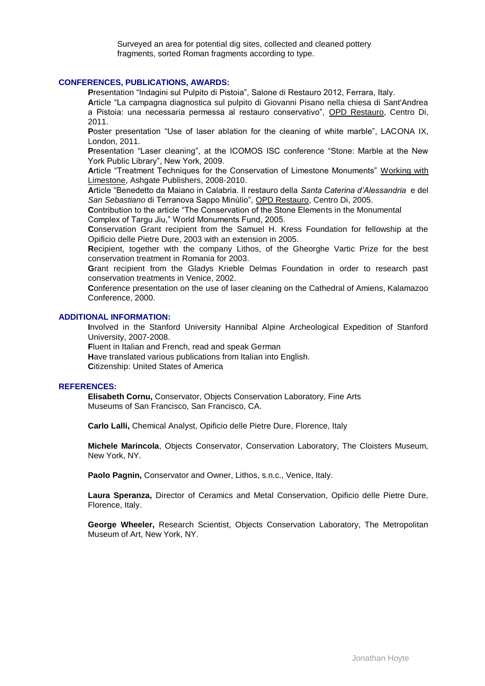Surveyed an area for potential dig sites, collected and cleaned pottery fragments, sorted Roman fragments according to type.

#### **CONFERENCES, PUBLICATIONS, AWARDS:**

**P**resentation "Indagini sul Pulpito di Pistoia", Salone di Restauro 2012, Ferrara, Italy.

**A**rticle "La campagna diagnostica sul pulpito di Giovanni Pisano nella chiesa di Sant'Andrea a Pistoia: una necessaria permessa al restauro conservativo", OPD Restauro, Centro Di, 2011.

Poster presentation "Use of laser ablation for the cleaning of white marble", LACONA IX, London, 2011.

**P**resentation "Laser cleaning", at the ICOMOS ISC conference "Stone: Marble at the New York Public Library", New York, 2009.

**A**rticle "Treatment Techniques for the Conservation of Limestone Monuments" Working with Limestone, Ashgate Publishers, 2008-2010.

**A**rticle "Benedetto da Maiano in Calabria. Il restauro della *Santa Caterina d'Alessandria* e del *San Sebastiano* di Terranova Sappo Minùlio", OPD Restauro, Centro Di, 2005.

**C**ontribution to the article "The Conservation of the Stone Elements in the Monumental Complex of Targu Jiu," World Monuments Fund, 2005.

**C**onservation Grant recipient from the Samuel H. Kress Foundation for fellowship at the Opificio delle Pietre Dure, 2003 with an extension in 2005.

**R**ecipient, together with the company Lithos, of the Gheorghe Vartic Prize for the best conservation treatment in Romania for 2003.

**G**rant recipient from the Gladys Krieble Delmas Foundation in order to research past conservation treatments in Venice, 2002.

**C**onference presentation on the use of laser cleaning on the Cathedral of Amiens, Kalamazoo Conference, 2000.

# **ADDITIONAL INFORMATION:**

**I**nvolved in the Stanford University Hannibal Alpine Archeological Expedition of Stanford University, 2007-2008.

**F**luent in Italian and French, read and speak German **H**ave translated various publications from Italian into English.

# **C**itizenship: United States of America

#### **REFERENCES:**

**Elisabeth Cornu,** Conservator, Objects Conservation Laboratory, Fine Arts Museums of San Francisco, San Francisco, CA.

**Carlo Lalli,** Chemical Analyst, Opificio delle Pietre Dure, Florence, Italy

**Michele Marincola**, Objects Conservator, Conservation Laboratory, The Cloisters Museum, New York, NY.

Paolo Pagnin, Conservator and Owner, Lithos, s.n.c., Venice, Italy.

**Laura Speranza,** Director of Ceramics and Metal Conservation, Opificio delle Pietre Dure, Florence, Italy.

**George Wheeler,** Research Scientist, Objects Conservation Laboratory, The Metropolitan Museum of Art, New York, NY.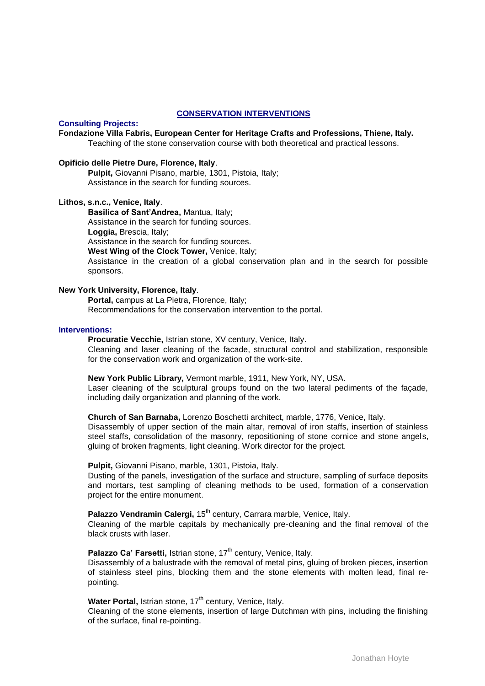#### **CONSERVATION INTERVENTIONS**

## **Consulting Projects:**

**Fondazione Villa Fabris, European Center for Heritage Crafts and Professions, Thiene, Italy.** Teaching of the stone conservation course with both theoretical and practical lessons.

#### **Opificio delle Pietre Dure, Florence, Italy**.

**Pulpit,** Giovanni Pisano, marble, 1301, Pistoia, Italy; Assistance in the search for funding sources.

#### **Lithos, s.n.c., Venice, Italy**.

**Basilica of Sant'Andrea,** Mantua, Italy; Assistance in the search for funding sources.

**Loggia,** Brescia, Italy;

Assistance in the search for funding sources.

**West Wing of the Clock Tower,** Venice, Italy;

Assistance in the creation of a global conservation plan and in the search for possible sponsors.

#### **New York University, Florence, Italy**.

**Portal,** campus at La Pietra, Florence, Italy; Recommendations for the conservation intervention to the portal.

#### **Interventions:**

**Procuratie Vecchie,** Istrian stone, XV century, Venice, Italy. Cleaning and laser cleaning of the facade, structural control and stabilization, responsible for the conservation work and organization of the work-site.

#### **New York Public Library,** Vermont marble, 1911, New York, NY, USA.

Laser cleaning of the sculptural groups found on the two lateral pediments of the façade, including daily organization and planning of the work.

#### **Church of San Barnaba,** Lorenzo Boschetti architect, marble, 1776, Venice, Italy.

Disassembly of upper section of the main altar, removal of iron staffs, insertion of stainless steel staffs, consolidation of the masonry, repositioning of stone cornice and stone angels, gluing of broken fragments, light cleaning. Work director for the project.

#### **Pulpit,** Giovanni Pisano, marble, 1301, Pistoia, Italy.

Dusting of the panels, investigation of the surface and structure, sampling of surface deposits and mortars, test sampling of cleaning methods to be used, formation of a conservation project for the entire monument.

# Palazzo Vendramin Calergi, 15<sup>th</sup> century, Carrara marble, Venice, Italy.

Cleaning of the marble capitals by mechanically pre-cleaning and the final removal of the black crusts with laser.

## **Palazzo Ca' Farsetti, Istrian stone, 17<sup>th</sup> century, Venice, Italy.**

Disassembly of a balustrade with the removal of metal pins, gluing of broken pieces, insertion of stainless steel pins, blocking them and the stone elements with molten lead, final repointing.

### **Water Portal, Istrian stone, 17<sup>th</sup> century, Venice, Italy.**

Cleaning of the stone elements, insertion of large Dutchman with pins, including the finishing of the surface, final re-pointing.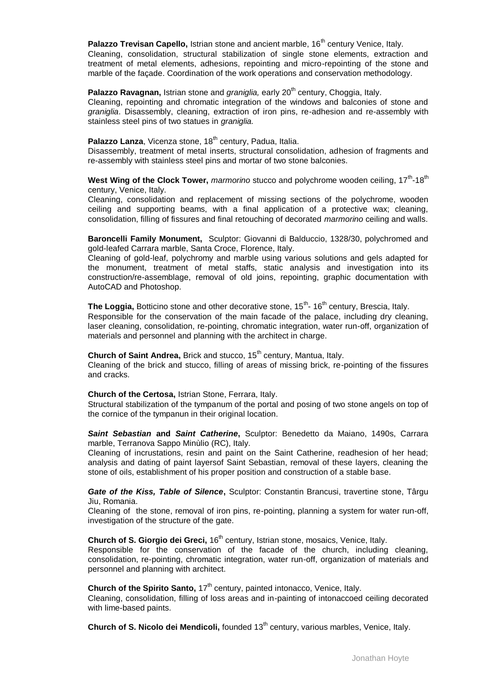**Palazzo Trevisan Capello, Istrian stone and ancient marble, 16<sup>th</sup> century Venice, Italy.** 

Cleaning, consolidation, structural stabilization of single stone elements, extraction and treatment of metal elements, adhesions, repointing and micro-repointing of the stone and marble of the façade. Coordination of the work operations and conservation methodology.

## **Palazzo Ravagnan, Istrian stone and** *graniglia***, early 20<sup>th</sup> century, Choggia, Italy.**

Cleaning, repointing and chromatic integration of the windows and balconies of stone and *graniglia*. Disassembly, cleaning, extraction of iron pins, re-adhesion and re-assembly with stainless steel pins of two statues in *graniglia.*

## Palazzo Lanza, Vicenza stone, 18<sup>th</sup> century, Padua, Italia.

Disassembly, treatment of metal inserts, structural consolidation, adhesion of fragments and re-assembly with stainless steel pins and mortar of two stone balconies.

West Wing of the Clock Tower, *marmorino* stucco and polychrome wooden ceiling, 17<sup>th</sup>-18<sup>th</sup> century, Venice, Italy.

Cleaning, consolidation and replacement of missing sections of the polychrome, wooden ceiling and supporting beams, with a final application of a protective wax; cleaning, consolidation, filling of fissures and final retouching of decorated *marmorino* ceiling and walls.

**Baroncelli Family Monument,** Sculptor: Giovanni di Balduccio, 1328/30, polychromed and gold-leafed Carrara marble, Santa Croce, Florence, Italy.

Cleaning of gold-leaf, polychromy and marble using various solutions and gels adapted for the monument, treatment of metal staffs, static analysis and investigation into its construction/re-assemblage, removal of old joins, repointing, graphic documentation with AutoCAD and Photoshop.

The Loggia, Botticino stone and other decorative stone, 15<sup>th</sup>- 16<sup>th</sup> century, Brescia, Italy. Responsible for the conservation of the main facade of the palace, including dry cleaning, laser cleaning, consolidation, re-pointing, chromatic integration, water run-off, organization of materials and personnel and planning with the architect in charge.

**Church of Saint Andrea, Brick and stucco, 15<sup>th</sup> century, Mantua, Italy.** 

Cleaning of the brick and stucco, filling of areas of missing brick, re-pointing of the fissures and cracks.

#### **Church of the Certosa,** Istrian Stone, Ferrara, Italy.

Structural stabilization of the tympanum of the portal and posing of two stone angels on top of the cornice of the tympanun in their original location.

*Saint Sebastian* **and** *Saint Catherine***,** Sculptor: Benedetto da Maiano, 1490s, Carrara marble, Terranova Sappo Minùlio (RC), Italy.

Cleaning of incrustations, resin and paint on the Saint Catherine, readhesion of her head; analysis and dating of paint layersof Saint Sebastian, removal of these layers, cleaning the stone of oils, establishment of his proper position and construction of a stable base.

*Gate of the Kiss, Table of Silence***,** Sculptor: Constantin Brancusi, travertine stone, Târgu Jiu, Romania.

Cleaning of the stone, removal of iron pins, re-pointing, planning a system for water run-off, investigation of the structure of the gate.

**Church of S. Giorgio dei Greci, 16<sup>th</sup> century, Istrian stone, mosaics, Venice, Italy.** 

Responsible for the conservation of the facade of the church, including cleaning, consolidation, re-pointing, chromatic integration, water run-off, organization of materials and personnel and planning with architect.

**Church of the Spirito Santo, 17<sup>th</sup> century, painted intonacco, Venice, Italy.** 

Cleaning, consolidation, filling of loss areas and in-painting of intonaccoed ceiling decorated with lime-based paints.

**Church of S. Nicolo dei Mendicoli,** founded 13<sup>th</sup> century, various marbles, Venice, Italy.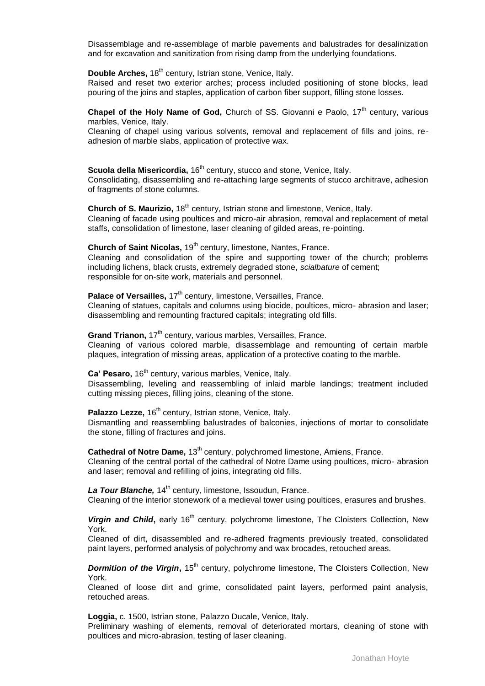Disassemblage and re-assemblage of marble pavements and balustrades for desalinization and for excavation and sanitization from rising damp from the underlying foundations.

**Double Arches,** 18<sup>th</sup> century, Istrian stone, Venice, Italy.

Raised and reset two exterior arches; process included positioning of stone blocks, lead pouring of the joins and staples, application of carbon fiber support, filling stone losses.

**Chapel of the Holy Name of God,** Church of SS. Giovanni e Paolo, 17<sup>th</sup> century, various marbles, Venice, Italy.

Cleaning of chapel using various solvents, removal and replacement of fills and joins, readhesion of marble slabs, application of protective wax.

**Scuola della Misericordia,** 16<sup>th</sup> century, stucco and stone, Venice, Italy. Consolidating, disassembling and re-attaching large segments of stucco architrave, adhesion of fragments of stone columns.

**Church of S. Maurizio,** 18<sup>th</sup> century, Istrian stone and limestone, Venice, Italy. Cleaning of facade using poultices and micro-air abrasion, removal and replacement of metal staffs, consolidation of limestone, laser cleaning of gilded areas, re-pointing.

**Church of Saint Nicolas, 19<sup>th</sup> century, limestone, Nantes, France.** 

Cleaning and consolidation of the spire and supporting tower of the church; problems including lichens, black crusts, extremely degraded stone, *scialbature* of cement; responsible for on-site work, materials and personnel.

Palace of Versailles, 17<sup>th</sup> century, limestone, Versailles, France.

Cleaning of statues, capitals and columns using biocide, poultices, micro- abrasion and laser; disassembling and remounting fractured capitals; integrating old fills.

**Grand Trianon, 17<sup>th</sup> century, various marbles, Versailles, France.** Cleaning of various colored marble, disassemblage and remounting of certain marble plaques, integration of missing areas, application of a protective coating to the marble.

**Ca' Pesaro,** 16<sup>th</sup> century, various marbles, Venice, Italy. Disassembling, leveling and reassembling of inlaid marble landings; treatment included cutting missing pieces, filling joins, cleaning of the stone.

Palazzo Lezze, 16<sup>th</sup> century, Istrian stone, Venice, Italy. Dismantling and reassembling balustrades of balconies, injections of mortar to consolidate the stone, filling of fractures and joins.

**Cathedral of Notre Dame, 13<sup>th</sup> century, polychromed limestone, Amiens, France,** Cleaning of the central portal of the cathedral of Notre Dame using poultices, micro- abrasion and laser; removal and refilling of joins, integrating old fills.

La Tour Blanche, 14<sup>th</sup> century, limestone, Issoudun, France. Cleaning of the interior stonework of a medieval tower using poultices, erasures and brushes.

**Virgin and Child**, early 16<sup>th</sup> century, polychrome limestone, The Cloisters Collection, New York.

Cleaned of dirt, disassembled and re-adhered fragments previously treated, consolidated paint layers, performed analysis of polychromy and wax brocades, retouched areas.

**Dormition of the Virgin, 15<sup>th</sup> century, polychrome limestone, The Cloisters Collection, New** York.

Cleaned of loose dirt and grime, consolidated paint layers, performed paint analysis, retouched areas.

**Loggia,** c. 1500, Istrian stone, Palazzo Ducale, Venice, Italy.

Preliminary washing of elements, removal of deteriorated mortars, cleaning of stone with poultices and micro-abrasion, testing of laser cleaning.